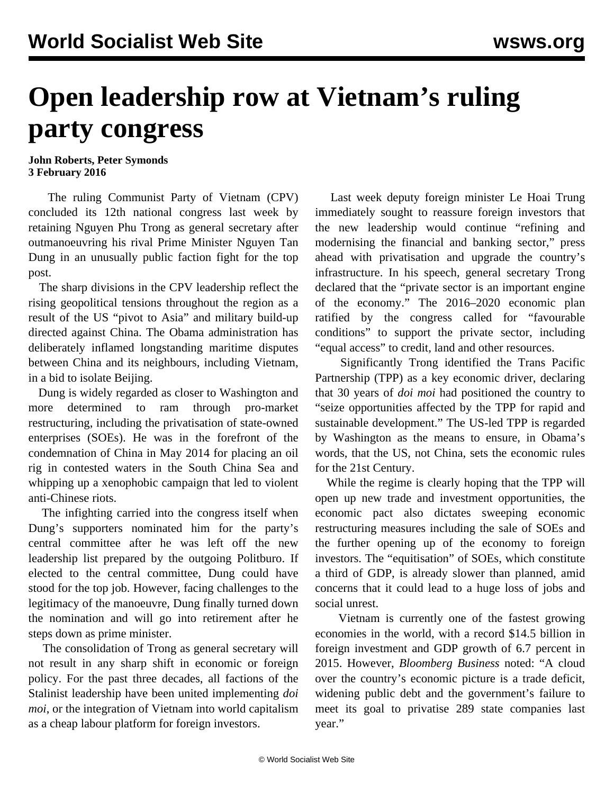## **Open leadership row at Vietnam's ruling party congress**

## **John Roberts, Peter Symonds 3 February 2016**

 The ruling Communist Party of Vietnam (CPV) concluded its 12th national congress last week by retaining Nguyen Phu Trong as general secretary after outmanoeuvring his rival Prime Minister Nguyen Tan Dung in an unusually public faction fight for the top post.

 The sharp divisions in the CPV leadership reflect the rising geopolitical tensions throughout the region as a result of the US "pivot to Asia" and military build-up directed against China. The Obama administration has deliberately inflamed longstanding maritime disputes between China and its neighbours, including Vietnam, in a bid to isolate Beijing.

 Dung is widely regarded as closer to Washington and more determined to ram through pro-market restructuring, including the privatisation of state-owned enterprises (SOEs). He was in the forefront of the condemnation of China in May 2014 for placing an oil rig in contested waters in the South China Sea and whipping up a xenophobic campaign that led to violent anti-Chinese riots.

 The infighting carried into the congress itself when Dung's supporters nominated him for the party's central committee after he was left off the new leadership list prepared by the outgoing Politburo. If elected to the central committee, Dung could have stood for the top job. However, facing challenges to the legitimacy of the manoeuvre, Dung finally turned down the nomination and will go into retirement after he steps down as prime minister.

 The consolidation of Trong as general secretary will not result in any sharp shift in economic or foreign policy. For the past three decades, all factions of the Stalinist leadership have been united implementing *doi moi*, or the integration of Vietnam into world capitalism as a cheap labour platform for foreign investors.

 Last week deputy foreign minister Le Hoai Trung immediately sought to reassure foreign investors that the new leadership would continue "refining and modernising the financial and banking sector," press ahead with privatisation and upgrade the country's infrastructure. In his speech, general secretary Trong declared that the "private sector is an important engine of the economy." The 2016–2020 economic plan ratified by the congress called for "favourable conditions" to support the private sector, including "equal access" to credit, land and other resources.

 Significantly Trong identified the Trans Pacific Partnership (TPP) as a key economic driver, declaring that 30 years of *doi moi* had positioned the country to "seize opportunities affected by the TPP for rapid and sustainable development." The US-led TPP is regarded by Washington as the means to ensure, in Obama's words, that the US, not China, sets the economic rules for the 21st Century.

 While the regime is clearly hoping that the TPP will open up new trade and investment opportunities, the economic pact also dictates sweeping economic restructuring measures including the sale of SOEs and the further opening up of the economy to foreign investors. The "equitisation" of SOEs, which constitute a third of GDP, is already slower than planned, amid concerns that it could lead to a huge loss of jobs and social unrest.

 Vietnam is currently one of the fastest growing economies in the world, with a record \$14.5 billion in foreign investment and GDP growth of 6.7 percent in 2015. However, *Bloomberg Business* noted: "A cloud over the country's economic picture is a trade deficit, widening public debt and the government's failure to meet its goal to privatise 289 state companies last year."